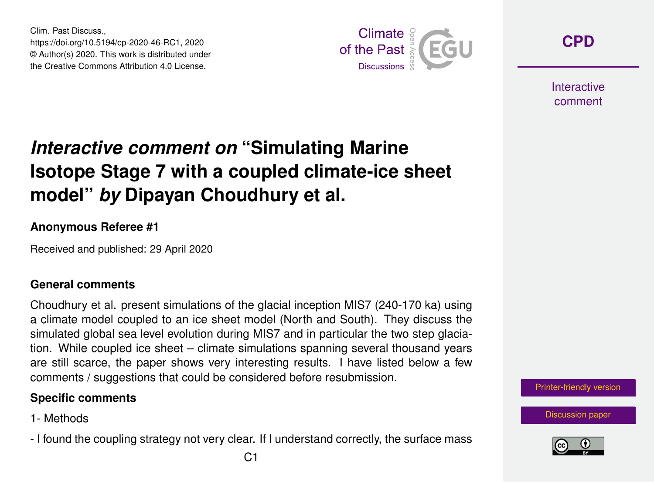Clim. Past Discuss., https://doi.org/10.5194/cp-2020-46-RC1, 2020 © Author(s) 2020. This work is distributed under the Creative Commons Attribution 4.0 License.



**[CPD](https://www.clim-past-discuss.net/)**

**Interactive** comment

# *Interactive comment on* **"Simulating Marine Isotope Stage 7 with a coupled climate-ice sheet model"** *by* **Dipayan Choudhury et al.**

### **Anonymous Referee #1**

Received and published: 29 April 2020

### **General comments**

Choudhury et al. present simulations of the glacial inception MIS7 (240-170 ka) using a climate model coupled to an ice sheet model (North and South). They discuss the simulated global sea level evolution during MIS7 and in particular the two step glaciation. While coupled ice sheet – climate simulations spanning several thousand years are still scarce, the paper shows very interesting results. I have listed below a few comments / suggestions that could be considered before resubmission.

### **Specific comments**

- 1- Methods
- I found the coupling strategy not very clear. If I understand correctly, the surface mass

[Printer-friendly version](https://www.clim-past-discuss.net/cp-2020-46/cp-2020-46-RC1-print.pdf)

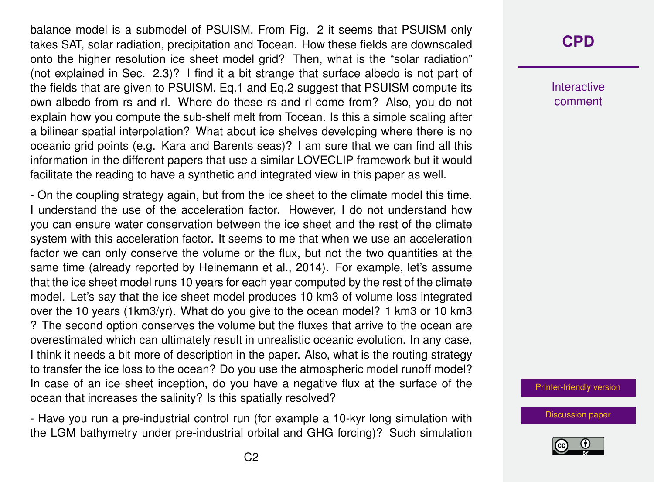balance model is a submodel of PSUISM. From Fig. 2 it seems that PSUISM only takes SAT, solar radiation, precipitation and Tocean. How these fields are downscaled onto the higher resolution ice sheet model grid? Then, what is the "solar radiation" (not explained in Sec. 2.3)? I find it a bit strange that surface albedo is not part of the fields that are given to PSUISM. Eq.1 and Eq.2 suggest that PSUISM compute its own albedo from rs and rl. Where do these rs and rl come from? Also, you do not explain how you compute the sub-shelf melt from Tocean. Is this a simple scaling after a bilinear spatial interpolation? What about ice shelves developing where there is no oceanic grid points (e.g. Kara and Barents seas)? I am sure that we can find all this information in the different papers that use a similar LOVECLIP framework but it would facilitate the reading to have a synthetic and integrated view in this paper as well.

- On the coupling strategy again, but from the ice sheet to the climate model this time. I understand the use of the acceleration factor. However, I do not understand how you can ensure water conservation between the ice sheet and the rest of the climate system with this acceleration factor. It seems to me that when we use an acceleration factor we can only conserve the volume or the flux, but not the two quantities at the same time (already reported by Heinemann et al., 2014). For example, let's assume that the ice sheet model runs 10 years for each year computed by the rest of the climate model. Let's say that the ice sheet model produces 10 km3 of volume loss integrated over the 10 years (1km3/yr). What do you give to the ocean model? 1 km3 or 10 km3 ? The second option conserves the volume but the fluxes that arrive to the ocean are overestimated which can ultimately result in unrealistic oceanic evolution. In any case, I think it needs a bit more of description in the paper. Also, what is the routing strategy to transfer the ice loss to the ocean? Do you use the atmospheric model runoff model? In case of an ice sheet inception, do you have a negative flux at the surface of the ocean that increases the salinity? Is this spatially resolved?

- Have you run a pre-industrial control run (for example a 10-kyr long simulation with the LGM bathymetry under pre-industrial orbital and GHG forcing)? Such simulation

### **[CPD](https://www.clim-past-discuss.net/)**

**Interactive** comment

[Printer-friendly version](https://www.clim-past-discuss.net/cp-2020-46/cp-2020-46-RC1-print.pdf)

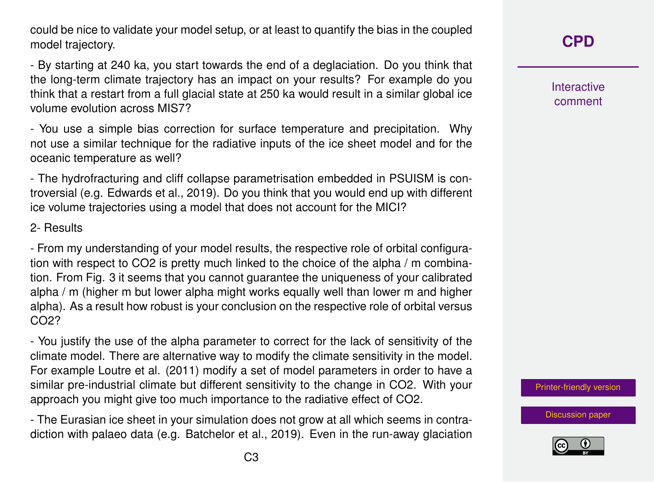could be nice to validate your model setup, or at least to quantify the bias in the coupled model trajectory.

- By starting at 240 ka, you start towards the end of a deglaciation. Do you think that the long-term climate trajectory has an impact on your results? For example do you think that a restart from a full glacial state at 250 ka would result in a similar global ice volume evolution across MIS7?

- You use a simple bias correction for surface temperature and precipitation. Why not use a similar technique for the radiative inputs of the ice sheet model and for the oceanic temperature as well?

- The hydrofracturing and cliff collapse parametrisation embedded in PSUISM is controversial (e.g. Edwards et al., 2019). Do you think that you would end up with different ice volume trajectories using a model that does not account for the MICI?

2- Results

- From my understanding of your model results, the respective role of orbital configuration with respect to CO2 is pretty much linked to the choice of the alpha / m combination. From Fig. 3 it seems that you cannot guarantee the uniqueness of your calibrated alpha / m (higher m but lower alpha might works equally well than lower m and higher alpha). As a result how robust is your conclusion on the respective role of orbital versus CO2?

- You justify the use of the alpha parameter to correct for the lack of sensitivity of the climate model. There are alternative way to modify the climate sensitivity in the model. For example Loutre et al. (2011) modify a set of model parameters in order to have a similar pre-industrial climate but different sensitivity to the change in CO2. With your approach you might give too much importance to the radiative effect of CO2.

- The Eurasian ice sheet in your simulation does not grow at all which seems in contradiction with palaeo data (e.g. Batchelor et al., 2019). Even in the run-away glaciation **Interactive** comment

[Printer-friendly version](https://www.clim-past-discuss.net/cp-2020-46/cp-2020-46-RC1-print.pdf)

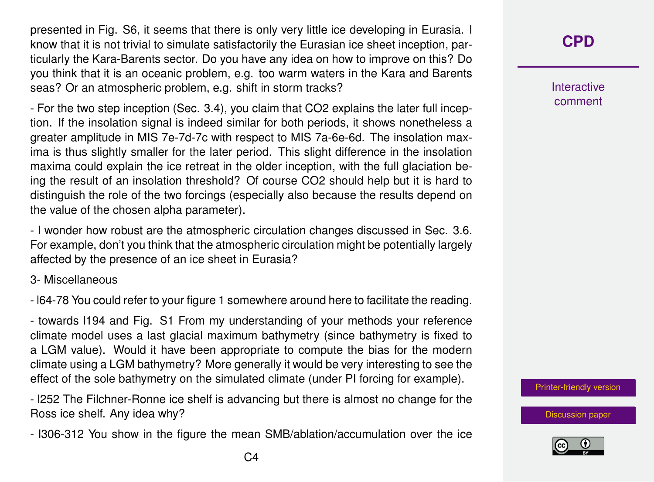presented in Fig. S6, it seems that there is only very little ice developing in Eurasia. I know that it is not trivial to simulate satisfactorily the Eurasian ice sheet inception, particularly the Kara-Barents sector. Do you have any idea on how to improve on this? Do you think that it is an oceanic problem, e.g. too warm waters in the Kara and Barents seas? Or an atmospheric problem, e.g. shift in storm tracks?

- For the two step inception (Sec. 3.4), you claim that CO2 explains the later full inception. If the insolation signal is indeed similar for both periods, it shows nonetheless a greater amplitude in MIS 7e-7d-7c with respect to MIS 7a-6e-6d. The insolation maxima is thus slightly smaller for the later period. This slight difference in the insolation maxima could explain the ice retreat in the older inception, with the full glaciation being the result of an insolation threshold? Of course CO2 should help but it is hard to distinguish the role of the two forcings (especially also because the results depend on the value of the chosen alpha parameter).

- I wonder how robust are the atmospheric circulation changes discussed in Sec. 3.6. For example, don't you think that the atmospheric circulation might be potentially largely affected by the presence of an ice sheet in Eurasia?

### 3- Miscellaneous

- l64-78 You could refer to your figure 1 somewhere around here to facilitate the reading.

- towards l194 and Fig. S1 From my understanding of your methods your reference climate model uses a last glacial maximum bathymetry (since bathymetry is fixed to a LGM value). Would it have been appropriate to compute the bias for the modern climate using a LGM bathymetry? More generally it would be very interesting to see the effect of the sole bathymetry on the simulated climate (under PI forcing for example).

- l252 The Filchner-Ronne ice shelf is advancing but there is almost no change for the Ross ice shelf. Any idea why?

- l306-312 You show in the figure the mean SMB/ablation/accumulation over the ice

**Interactive** comment

[Printer-friendly version](https://www.clim-past-discuss.net/cp-2020-46/cp-2020-46-RC1-print.pdf)

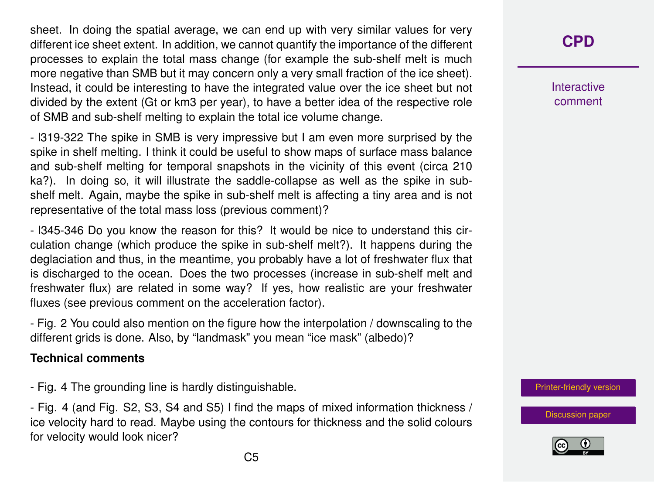sheet. In doing the spatial average, we can end up with very similar values for very different ice sheet extent. In addition, we cannot quantify the importance of the different processes to explain the total mass change (for example the sub-shelf melt is much more negative than SMB but it may concern only a very small fraction of the ice sheet). Instead, it could be interesting to have the integrated value over the ice sheet but not divided by the extent (Gt or km3 per year), to have a better idea of the respective role of SMB and sub-shelf melting to explain the total ice volume change.

- l319-322 The spike in SMB is very impressive but I am even more surprised by the spike in shelf melting. I think it could be useful to show maps of surface mass balance and sub-shelf melting for temporal snapshots in the vicinity of this event (circa 210 ka?). In doing so, it will illustrate the saddle-collapse as well as the spike in subshelf melt. Again, maybe the spike in sub-shelf melt is affecting a tiny area and is not representative of the total mass loss (previous comment)?

- l345-346 Do you know the reason for this? It would be nice to understand this circulation change (which produce the spike in sub-shelf melt?). It happens during the deglaciation and thus, in the meantime, you probably have a lot of freshwater flux that is discharged to the ocean. Does the two processes (increase in sub-shelf melt and freshwater flux) are related in some way? If yes, how realistic are your freshwater fluxes (see previous comment on the acceleration factor).

- Fig. 2 You could also mention on the figure how the interpolation / downscaling to the different grids is done. Also, by "landmask" you mean "ice mask" (albedo)?

#### **Technical comments**

- Fig. 4 The grounding line is hardly distinguishable.

- Fig. 4 (and Fig. S2, S3, S4 and S5) I find the maps of mixed information thickness / ice velocity hard to read. Maybe using the contours for thickness and the solid colours for velocity would look nicer?

## **[CPD](https://www.clim-past-discuss.net/)**

**Interactive** comment

[Printer-friendly version](https://www.clim-past-discuss.net/cp-2020-46/cp-2020-46-RC1-print.pdf)